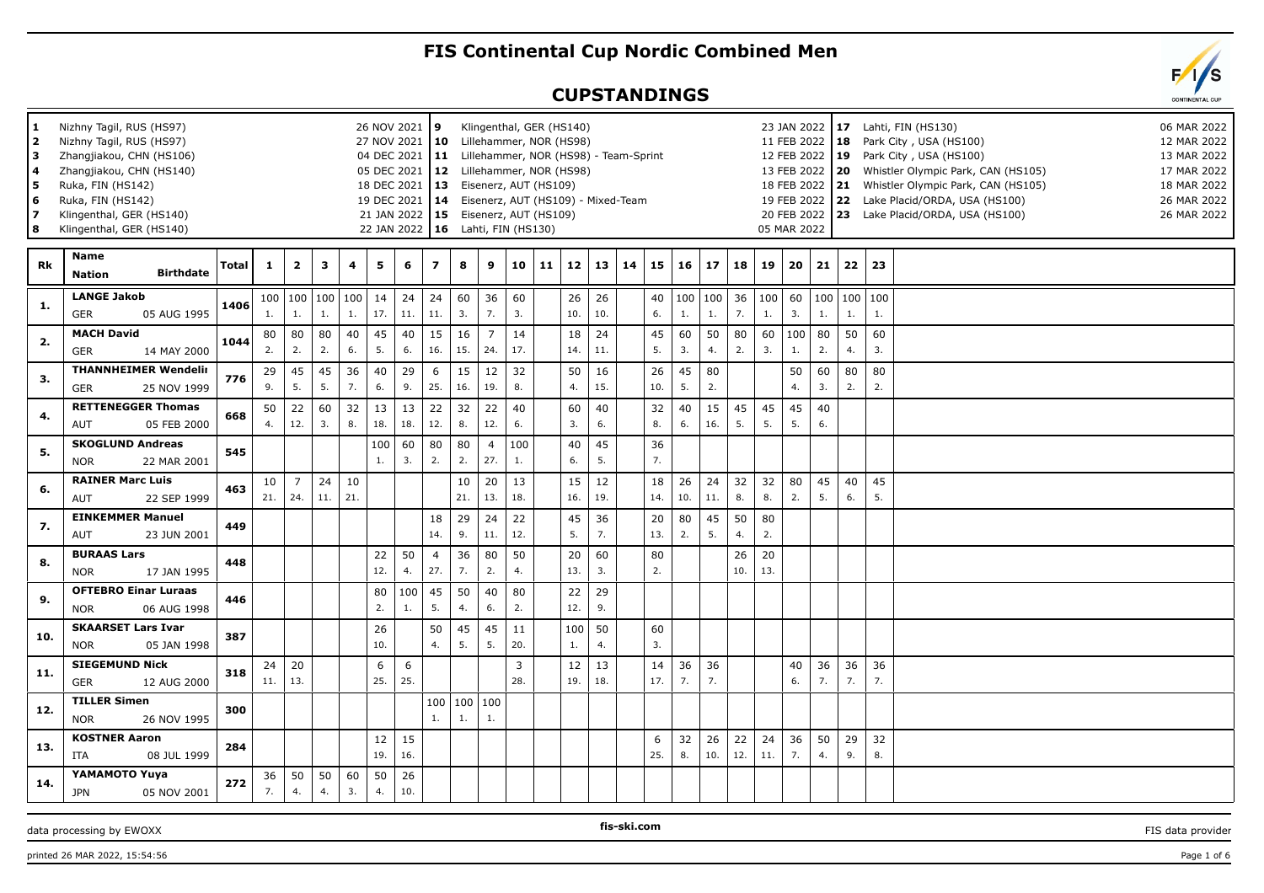## **FIS Continental Cup Nordic Combined Men**

## **CUPSTANDINGS**

| 1<br>2<br>з<br>4<br>5<br>6<br>7<br>8 | Nizhny Tagil, RUS (HS97)<br>Nizhny Tagil, RUS (HS97)<br>Zhangjiakou, CHN (HS106)<br>Zhangjiakou, CHN (HS140)<br>Ruka, FIN (HS142)<br>Ruka, FIN (HS142)<br>Klingenthal, GER (HS140)<br>Klingenthal, GER (HS140) |       |           |                       |              |           |           | 26 NOV 2021 9<br>27 NOV 2021   10<br>04 DEC 2021   11<br>05 DEC 2021<br>18 DEC 2021<br>19 DEC 2021<br>21 JAN 2022   15 Eisenerz, AUT (HS109)<br>22 JAN 2022   16 Lahti, FIN (HS130) | $ 13\rangle$          |                       |                       |           | Klingenthal, GER (HS140)<br>Lillehammer, NOR (HS98)<br>Lillehammer, NOR (HS98) - Team-Sprint<br>12 Lillehammer, NOR (HS98)<br>Eisenerz, AUT (HS109)<br>14 Eisenerz, AUT (HS109) - Mixed-Team |           |           |    |           |           |           |           |           | 05 MAR 2022 | 11 FEB 2022   18 |          |                       | 23 JAN 2022   17 Lahti, FIN (HS130)<br>Park City, USA (HS100)<br>12 FEB 2022   19 Park City, USA (HS100)<br>13 FEB 2022   20 Whistler Olympic Park, CAN (HS105)<br>18 FEB 2022 21 Whistler Olympic Park, CAN (HS105)<br>19 FEB 2022 22 Lake Placid/ORDA, USA (HS100)<br>20 FEB 2022   23 Lake Placid/ORDA, USA (HS100) | 06 MAR 2022<br>12 MAR 2022<br>13 MAR 2022<br>17 MAR 2022<br>18 MAR 2022<br>26 MAR 2022<br>26 MAR 2022 |
|--------------------------------------|----------------------------------------------------------------------------------------------------------------------------------------------------------------------------------------------------------------|-------|-----------|-----------------------|--------------|-----------|-----------|-------------------------------------------------------------------------------------------------------------------------------------------------------------------------------------|-----------------------|-----------------------|-----------------------|-----------|----------------------------------------------------------------------------------------------------------------------------------------------------------------------------------------------|-----------|-----------|----|-----------|-----------|-----------|-----------|-----------|-------------|------------------|----------|-----------------------|------------------------------------------------------------------------------------------------------------------------------------------------------------------------------------------------------------------------------------------------------------------------------------------------------------------------|-------------------------------------------------------------------------------------------------------|
| Rk                                   | Name<br><b>Birthdate</b><br><b>Nation</b>                                                                                                                                                                      | Total | 1         | $\mathbf{2}$          | $\mathbf{3}$ | 4         | 5         | 6                                                                                                                                                                                   | $\overline{7}$        | 8                     | 9                     | 10        | 11                                                                                                                                                                                           | 12        | 13        | 14 | 15        | 16        | 17        | 18        | 19        | 20          | 21               | 22       | 23                    |                                                                                                                                                                                                                                                                                                                        |                                                                                                       |
| 1.                                   | <b>LANGE Jakob</b><br>05 AUG 1995<br><b>GER</b>                                                                                                                                                                | 1406  | 1.        | 100 100<br>1.         | 100<br>1.    | 100<br>1. | 14<br>17. | 24<br>11.                                                                                                                                                                           | 24<br>$11.$           | 60<br>3.              | 36<br>7.              | 60<br>3.  |                                                                                                                                                                                              | 26<br>10. | 26<br>10. |    | 40<br>6.  | 100<br>1. | 100<br>1. | 36<br>7.  | 100<br>1. | 60<br>3.    | 1.               | 1.       | 100   100   100<br>1. |                                                                                                                                                                                                                                                                                                                        |                                                                                                       |
| 2.                                   | <b>MACH David</b><br><b>GER</b><br>14 MAY 2000                                                                                                                                                                 | 1044  | 80<br>2.  | 80<br>2.              | 80<br>2.     | 40<br>6.  | 45<br>5.  | 40<br>6.                                                                                                                                                                            | 15<br>16.             | 16<br>15.             | $\overline{7}$<br>24. | 14<br>17. |                                                                                                                                                                                              | 18<br>14. | 24<br>11. |    | 45<br>5.  | 60<br>3.  | 50<br>4.  | 80<br>2.  | 60<br>3.  | 100<br>1.   | 80<br>2.         | 50<br>4. | 60<br>3.              |                                                                                                                                                                                                                                                                                                                        |                                                                                                       |
| 3.                                   | <b>THANNHEIMER Wendelir</b><br><b>GER</b><br>25 NOV 1999                                                                                                                                                       | 776   | 29<br>9.  | 45<br>5.              | 45<br>5.     | 36<br>7.  | 40<br>6.  | 29<br>9.                                                                                                                                                                            | 6<br>25.              | 15<br>16.             | 12<br>19.             | 32<br>8.  |                                                                                                                                                                                              | 50<br>4.  | 16<br>15. |    | 26<br>10. | 45<br>5.  | 80<br>2.  |           |           | 50<br>4.    | 60<br>3.         | 80<br>2. | 80<br>2.              |                                                                                                                                                                                                                                                                                                                        |                                                                                                       |
| 4.                                   | <b>RETTENEGGER Thomas</b><br>05 FEB 2000<br>AUT                                                                                                                                                                | 668   | 50<br>4.  | 22<br>12.             | 60<br>3.     | 32<br>8.  | 13<br>18. | 13<br>18.                                                                                                                                                                           | 22<br>12.             | 32<br>8.              | 22<br>12.             | 40<br>6.  |                                                                                                                                                                                              | 60<br>3.  | 40<br>6.  |    | 32<br>8.  | 40<br>6.  | 15<br>16. | 45<br>5.  | 45<br>5.  | 45<br>5.    | 40<br>6.         |          |                       |                                                                                                                                                                                                                                                                                                                        |                                                                                                       |
| 5.                                   | <b>SKOGLUND Andreas</b><br>22 MAR 2001<br><b>NOR</b>                                                                                                                                                           | 545   |           |                       |              |           | 100<br>1. | 60<br>3.                                                                                                                                                                            | 80<br>2.              | 80<br>2.              | $\overline{4}$<br>27. | 100<br>1. |                                                                                                                                                                                              | 40<br>6.  | 45<br>5.  |    | 36<br>7.  |           |           |           |           |             |                  |          |                       |                                                                                                                                                                                                                                                                                                                        |                                                                                                       |
| 6.                                   | <b>RAINER Marc Luis</b><br>22 SEP 1999<br><b>AUT</b>                                                                                                                                                           | 463   | 10<br>21. | $\overline{7}$<br>24. | 24<br>11.    | 10<br>21. |           |                                                                                                                                                                                     |                       | 10<br>21.             | 20<br>13.             | 13<br>18. |                                                                                                                                                                                              | 15<br>16. | 12<br>19. |    | 18<br>14. | 26<br>10. | 24<br>11. | 32<br>8.  | 32<br>8.  | 80<br>2.    | 45<br>5.         | 40<br>6. | 45<br>5.              |                                                                                                                                                                                                                                                                                                                        |                                                                                                       |
| 7.                                   | <b>EINKEMMER Manuel</b><br>23 JUN 2001<br>AUT                                                                                                                                                                  | 449   |           |                       |              |           |           |                                                                                                                                                                                     | 18<br>14.             | 29<br>9.              | 24<br>11.             | 22<br>12. |                                                                                                                                                                                              | 45<br>5.  | 36<br>7.  |    | 20<br>13. | 80<br>2.  | 45<br>5.  | 50<br>4.  | 80<br>2.  |             |                  |          |                       |                                                                                                                                                                                                                                                                                                                        |                                                                                                       |
| 8.                                   | <b>BURAAS Lars</b><br><b>NOR</b><br>17 JAN 1995                                                                                                                                                                | 448   |           |                       |              |           | 22<br>12. | 50<br>4.                                                                                                                                                                            | $\overline{4}$<br>27. | 36<br>7.              | 80<br>2.              | 50<br>4.  |                                                                                                                                                                                              | 20<br>13. | 60<br>3.  |    | 80<br>2.  |           |           | 26<br>10. | 20<br>13. |             |                  |          |                       |                                                                                                                                                                                                                                                                                                                        |                                                                                                       |
| 9.                                   | <b>OFTEBRO Einar Luraas</b><br><b>NOR</b><br>06 AUG 1998                                                                                                                                                       | 446   |           |                       |              |           | 80<br>2.  | 100<br>1.                                                                                                                                                                           | 45<br>5.              | 50<br>4.              | 40<br>6.              | 80<br>2.  |                                                                                                                                                                                              | 22<br>12. | 29<br>9.  |    |           |           |           |           |           |             |                  |          |                       |                                                                                                                                                                                                                                                                                                                        |                                                                                                       |
| 10.                                  | <b>SKAARSET Lars Ivar</b><br><b>NOR</b><br>05 JAN 1998                                                                                                                                                         | 387   |           |                       |              |           | 26<br>10. |                                                                                                                                                                                     | 50<br>4.              | 45<br>5.              | 45<br>5.              | 11<br>20. |                                                                                                                                                                                              | 100<br>1. | 50<br>4.  |    | 60<br>3.  |           |           |           |           |             |                  |          |                       |                                                                                                                                                                                                                                                                                                                        |                                                                                                       |
| 11.                                  | <b>SIEGEMUND Nick</b><br><b>GER</b><br>12 AUG 2000                                                                                                                                                             | 318   | 24<br>11. | 20<br>13.             |              |           | 6<br>25.  | 6<br>25.                                                                                                                                                                            |                       |                       |                       | 3<br>28.  |                                                                                                                                                                                              | 12<br>19. | 13<br>18. |    | 14<br>17. | 36<br>7.  | 36<br>7.  |           |           | 40<br>6.    | 36<br>7.         | 36<br>7. | 36<br>7.              |                                                                                                                                                                                                                                                                                                                        |                                                                                                       |
| 12.                                  | <b>TILLER Simen</b><br><b>NOR</b><br>26 NOV 1995                                                                                                                                                               | 300   |           |                       |              |           |           |                                                                                                                                                                                     | 1.                    | 100   100   100<br>1. | 1.                    |           |                                                                                                                                                                                              |           |           |    |           |           |           |           |           |             |                  |          |                       |                                                                                                                                                                                                                                                                                                                        |                                                                                                       |
| 13.                                  | <b>KOSTNER Aaron</b><br>08 JUL 1999<br>ITA                                                                                                                                                                     | 284   |           |                       |              |           | 12<br>19. | 15<br>16.                                                                                                                                                                           |                       |                       |                       |           |                                                                                                                                                                                              |           |           |    | 6<br>25.  | 32<br>8.  | 26<br>10. | 22<br>12. | 24<br>11. | 36<br>7.    | 50<br>4.         | 29<br>9. | 32<br>8.              |                                                                                                                                                                                                                                                                                                                        |                                                                                                       |
| 14.                                  | YAMAMOTO Yuya<br>05 NOV 2001<br><b>JPN</b>                                                                                                                                                                     | 272   | 36<br>7.  | 50<br>4.              | 50<br>4.     | 60<br>3.  | 50<br>4.  | 26<br>10.                                                                                                                                                                           |                       |                       |                       |           |                                                                                                                                                                                              |           |           |    |           |           |           |           |           |             |                  |          |                       |                                                                                                                                                                                                                                                                                                                        |                                                                                                       |

data processing by EWOXX **EXECUTES AND A CONSUMING THE-SKI.COM FIS** data provider **FIS** data provider

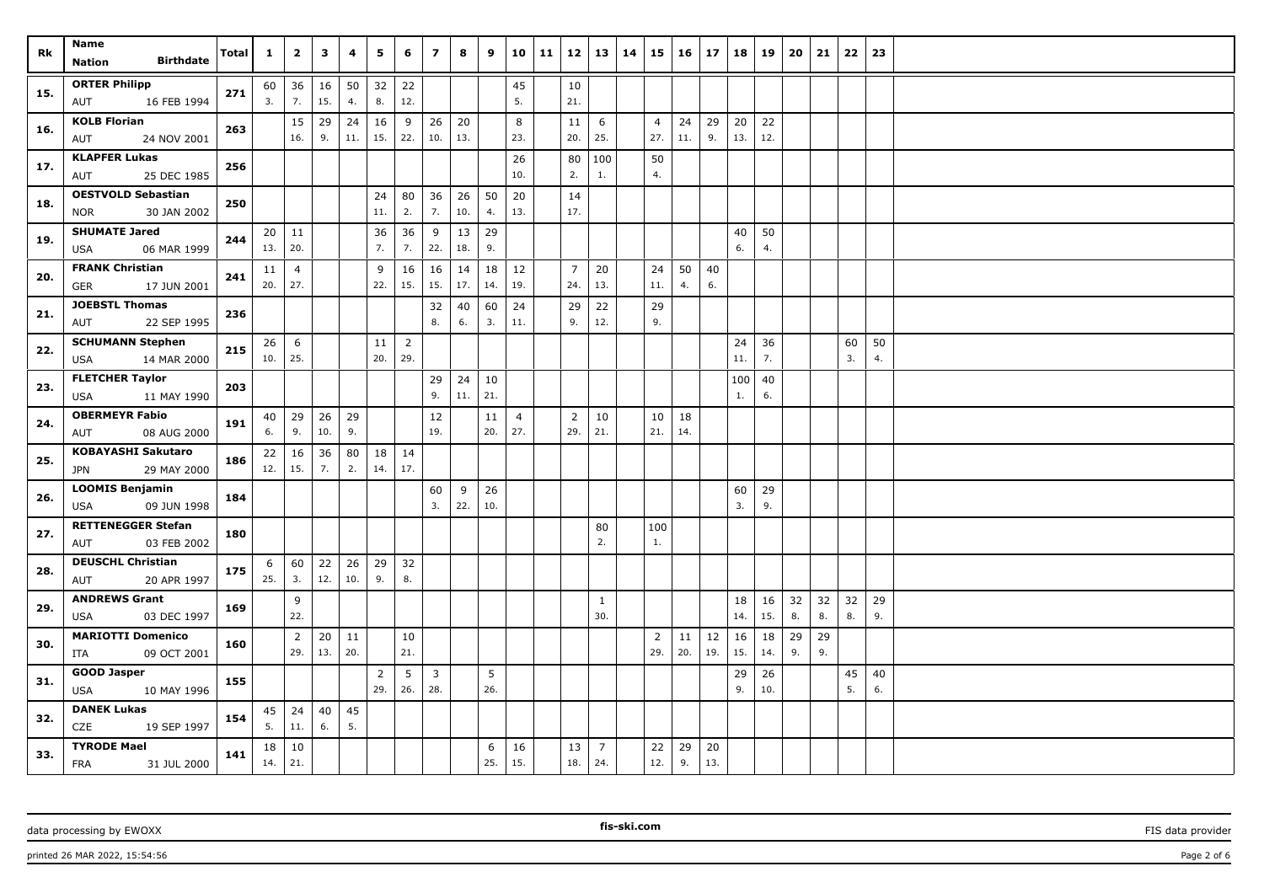| Rk  | Name                                          |              | $\mathbf{1}$ | $\overline{2}$ | 3   | 4        | 5         | 6                     | $\overline{\mathbf{z}}$ | 8               | 9        |                | 10 11 | 12             | 13                    | 14 | 15             | $16 \mid 17$ |           | 18        | 19       | 20 | 21 | 22       | 23       |  |
|-----|-----------------------------------------------|--------------|--------------|----------------|-----|----------|-----------|-----------------------|-------------------------|-----------------|----------|----------------|-------|----------------|-----------------------|----|----------------|--------------|-----------|-----------|----------|----|----|----------|----------|--|
|     | <b>Birthdate</b><br><b>Nation</b>             | <b>Total</b> |              |                |     |          |           |                       |                         |                 |          |                |       |                |                       |    |                |              |           |           |          |    |    |          |          |  |
| 15. | <b>ORTER Philipp</b>                          | 271          | 60           | 36             | 16  | 50       | 32        | 22                    |                         |                 |          | 45             |       | 10             |                       |    |                |              |           |           |          |    |    |          |          |  |
|     | 16 FEB 1994<br>AUT                            |              | 3.           | 7.             | 15. | 4.       | 8.        | 12.                   |                         |                 |          | 5.             |       | 21.            |                       |    |                |              |           |           |          |    |    |          |          |  |
| 16. | <b>KOLB Florian</b>                           | 263          |              | 15             | 29  | 24       | 16        | 9                     | 26                      | 20              |          | 8              |       | 11             | 6                     |    | $\overline{4}$ | 24           | 29        | 20        | 22       |    |    |          |          |  |
|     | AUT<br>24 NOV 2001                            |              |              | 16.            | 9.  | 11.      | 15.       | 22.                   | 10.                     | 13.             |          | 23.            |       | 20.            | 25.                   |    | 27.            | 11.          | 9.        | 13.       | 12.      |    |    |          |          |  |
| 17. | <b>KLAPFER Lukas</b>                          | 256          |              |                |     |          |           |                       |                         |                 |          | 26             |       | 80             | 100                   |    | 50             |              |           |           |          |    |    |          |          |  |
|     | 25 DEC 1985<br>AUT                            |              |              |                |     |          |           |                       |                         |                 |          | 10.            |       | 2.             | $\mathbf{1}$ .        |    | 4.             |              |           |           |          |    |    |          |          |  |
| 18. | <b>OESTVOLD Sebastian</b>                     | 250          |              |                |     |          | 24        | 80                    | 36                      | 26              | 50       | 20             |       | 14             |                       |    |                |              |           |           |          |    |    |          |          |  |
|     | 30 JAN 2002<br><b>NOR</b>                     |              |              |                |     |          | 11.       | 2.                    | 7.                      | $10.$           | 4.       | 13.            |       | 17.            |                       |    |                |              |           |           |          |    |    |          |          |  |
| 19. | <b>SHUMATE Jared</b>                          | 244          |              | $20 \mid 11$   |     |          | 36        | 36                    | 9                       | 13              | 29       |                |       |                |                       |    |                |              |           | 40        | 50       |    |    |          |          |  |
|     | 06 MAR 1999<br>USA                            |              | 13.          | 20.            |     |          | 7.        | 7.                    | 22.                     | 18.             | 9.       |                |       |                |                       |    |                |              |           | 6.        | 4.       |    |    |          |          |  |
| 20. | <b>FRANK Christian</b>                        | 241          | 11           | $\overline{4}$ |     |          | 9         | 16                    | 16                      | 14              | 18       | 12             |       | $\overline{7}$ | 20                    |    | 24             | 50           | 40        |           |          |    |    |          |          |  |
|     | 17 JUN 2001<br>GER                            |              | 20.          | 27.            |     |          | 22.       | 15.                   | 15.                     | 17.             | 14.      | 19.            |       | 24.            | 13.                   |    | 11.            | 4.           | 6.        |           |          |    |    |          |          |  |
| 21. | <b>JOEBSTL Thomas</b>                         | 236          |              |                |     |          |           |                       | 32<br>8.                | 40              | 60<br>3. | 24<br>11.      |       | 29<br>9.       | 22<br>12.             |    | 29<br>9.       |              |           |           |          |    |    |          |          |  |
|     | 22 SEP 1995<br>AUT                            |              |              |                |     |          |           |                       |                         | 6.              |          |                |       |                |                       |    |                |              |           |           |          |    |    |          |          |  |
| 22. | <b>SCHUMANN Stephen</b><br>14 MAR 2000<br>USA | 215          | 26<br>10.    | 6<br>25.       |     |          | 11<br>20. | $\overline{2}$<br>29. |                         |                 |          |                |       |                |                       |    |                |              |           | 24<br>11. | 36<br>7. |    |    | 60<br>3. | 50<br>4. |  |
|     | <b>FLETCHER Taylor</b>                        |              |              |                |     |          |           |                       |                         |                 |          |                |       |                |                       |    |                |              |           |           |          |    |    |          |          |  |
| 23. | <b>USA</b><br>11 MAY 1990                     | 203          |              |                |     |          |           |                       | 29<br>9.                | 24<br>11.   21. | 10       |                |       |                |                       |    |                |              |           | 100<br>1. | 40<br>6. |    |    |          |          |  |
|     | <b>OBERMEYR Fabio</b>                         |              |              | $40 \mid 29$   | 26  | 29       |           |                       | 12                      |                 | 11       | $\overline{4}$ |       | 2              | 10                    |    | 10             | 18           |           |           |          |    |    |          |          |  |
| 24. | AUT<br>08 AUG 2000                            | 191          | 6.           | 9.             | 10. | 9.       |           |                       | 19.                     |                 | 20.      | 27.            |       | 29.            | 21.                   |    | 21.            | 14.          |           |           |          |    |    |          |          |  |
|     | <b>KOBAYASHI Sakutaro</b>                     |              | 22           | 16             | 36  | 80       | 18        | 14                    |                         |                 |          |                |       |                |                       |    |                |              |           |           |          |    |    |          |          |  |
| 25. | 29 MAY 2000<br>JPN                            | 186          | 12.          | 15.            | 7.  | 2.       | 14.       | 17.                   |                         |                 |          |                |       |                |                       |    |                |              |           |           |          |    |    |          |          |  |
|     | <b>LOOMIS Benjamin</b>                        |              |              |                |     |          |           |                       | 60                      | 9               | 26       |                |       |                |                       |    |                |              |           | 60        | 29       |    |    |          |          |  |
| 26. | 09 JUN 1998<br>USA                            | 184          |              |                |     |          |           |                       | 3.                      | 22.             | 10.      |                |       |                |                       |    |                |              |           | 3.        | 9.       |    |    |          |          |  |
|     | <b>RETTENEGGER Stefan</b>                     |              |              |                |     |          |           |                       |                         |                 |          |                |       |                | 80                    |    | 100            |              |           |           |          |    |    |          |          |  |
| 27. | 03 FEB 2002<br>AUT                            | 180          |              |                |     |          |           |                       |                         |                 |          |                |       |                | 2.                    |    | 1.             |              |           |           |          |    |    |          |          |  |
| 28. | <b>DEUSCHL Christian</b>                      | 175          | 6            | 60             | 22  | 26       | 29        | 32                    |                         |                 |          |                |       |                |                       |    |                |              |           |           |          |    |    |          |          |  |
|     | 20 APR 1997<br>AUT                            |              | 25.          | 3.             | 12. | 10.      | 9.        | 8.                    |                         |                 |          |                |       |                |                       |    |                |              |           |           |          |    |    |          |          |  |
| 29. | <b>ANDREWS Grant</b>                          | 169          |              | 9              |     |          |           |                       |                         |                 |          |                |       |                | 1                     |    |                |              |           | 18        | 16       | 32 | 32 | 32       | 29       |  |
|     | 03 DEC 1997<br>USA                            |              |              | 22.            |     |          |           |                       |                         |                 |          |                |       |                | 30.                   |    |                |              |           | 14.       | 15.      | 8. | 8. | 8.       | 9.       |  |
| 30. | <b>MARIOTTI Domenico</b>                      | 160          |              | 2              | 20  | 11       |           | 10                    |                         |                 |          |                |       |                |                       |    | $\overline{2}$ | 11           | 12        | 16        | 18       | 29 | 29 |          |          |  |
|     | 09 OCT 2001<br>ITA                            |              |              | 29.            | 13. | 20.      |           | 21.                   |                         |                 |          |                |       |                |                       |    | 29.            | 20.          | 19.       | 15.       | 14.      | 9. | 9. |          |          |  |
| 31. | <b>GOOD Jasper</b>                            | 155          |              |                |     |          | 2         | 5                     | $\overline{3}$          |                 | 5        |                |       |                |                       |    |                |              |           | 29        | 26       |    |    | 45       | 40       |  |
|     | <b>USA</b><br>10 MAY 1996                     |              |              |                |     |          | 29.       | 26.                   | 28.                     |                 | 26.      |                |       |                |                       |    |                |              |           | 9.        | 10.      |    |    | 5.       | 6.       |  |
| 32. | <b>DANEK Lukas</b>                            | 154          | 45<br>5.     | 24<br>11.      | 40  | 45<br>5. |           |                       |                         |                 |          |                |       |                |                       |    |                |              |           |           |          |    |    |          |          |  |
|     | CZE<br>19 SEP 1997                            |              |              |                | 6.  |          |           |                       |                         |                 |          |                |       |                |                       |    |                |              |           |           |          |    |    |          |          |  |
| 33. | <b>TYRODE Mael</b>                            | 141          | 18<br>14.    | 10<br>21.      |     |          |           |                       |                         |                 | 6<br>25. | 16<br>15.      |       | 13<br>18.      | $\overline{7}$<br>24. |    | 22<br>12.      | 29<br>9.     | 20<br>13. |           |          |    |    |          |          |  |
|     | FRA<br>31 JUL 2000                            |              |              |                |     |          |           |                       |                         |                 |          |                |       |                |                       |    |                |              |           |           |          |    |    |          |          |  |

printed 26 MAR 2022, 15:54:56 Page 2 of 6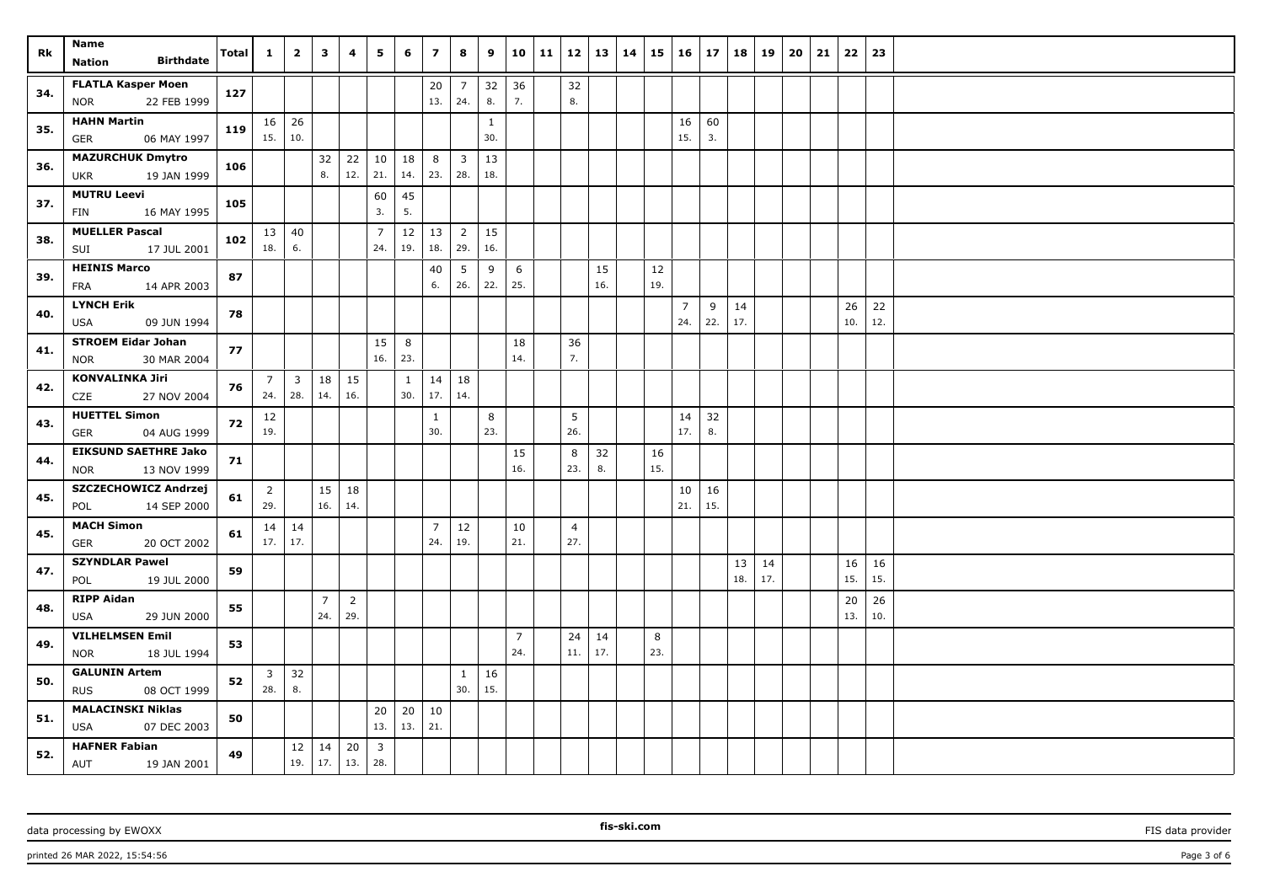| Rk  | Name<br><b>Birthdate</b><br>Nation                       | <b>Total</b> | $\mathbf{1}$          | $\overline{2}$                 | 3                     | 4                     | 5                              | 6         | $\overline{z}$        | 8                              | 9                   |                       | $10 \mid 11$ | 12                    | 13        | 14 | 15        | 16                    | $\vert$ 17 | 18        | 19        | 20 | 21 | 22        | 23        |  |
|-----|----------------------------------------------------------|--------------|-----------------------|--------------------------------|-----------------------|-----------------------|--------------------------------|-----------|-----------------------|--------------------------------|---------------------|-----------------------|--------------|-----------------------|-----------|----|-----------|-----------------------|------------|-----------|-----------|----|----|-----------|-----------|--|
| 34. | <b>FLATLA Kasper Moen</b><br>22 FEB 1999<br><b>NOR</b>   | 127          |                       |                                |                       |                       |                                |           | 20<br>13.             | $\overline{7}$<br>24.          | 32<br>8.            | 36<br>7.              |              | 32<br>8.              |           |    |           |                       |            |           |           |    |    |           |           |  |
| 35. | <b>HAHN Martin</b><br>06 MAY 1997<br>GER                 | 119          | 15.                   | $16 \mid 26$<br>10.            |                       |                       |                                |           |                       |                                | $\mathbf{1}$<br>30. |                       |              |                       |           |    |           | 16<br>15.             | 60<br>3.   |           |           |    |    |           |           |  |
| 36. | <b>MAZURCHUK Dmytro</b><br>19 JAN 1999<br><b>UKR</b>     | 106          |                       |                                | 32<br>8.              | 22<br>12.             | 10<br>21.                      | 18<br>14. | 8<br>23.              | $\overline{\mathbf{3}}$<br>28. | 13<br>18.           |                       |              |                       |           |    |           |                       |            |           |           |    |    |           |           |  |
| 37. | <b>MUTRU Leevi</b><br>16 MAY 1995<br>FIN                 | 105          |                       |                                |                       |                       | 60<br>3.                       | 45<br>5.  |                       |                                |                     |                       |              |                       |           |    |           |                       |            |           |           |    |    |           |           |  |
| 38. | <b>MUELLER Pascal</b><br>17 JUL 2001<br>SUI              | 102          | 18.                   | $13 \mid 40$<br>6.             |                       |                       | $\overline{7}$<br>24.          | 12<br>19. | 13<br>18.             | $\overline{2}$<br>29.          | 15<br>16.           |                       |              |                       |           |    |           |                       |            |           |           |    |    |           |           |  |
| 39. | <b>HEINIS Marco</b><br><b>FRA</b><br>14 APR 2003         | 87           |                       |                                |                       |                       |                                |           | 40<br>6.              | 5<br>26.                       | 9<br>22.            | 6<br>25.              |              |                       | 15<br>16. |    | 12<br>19. |                       |            |           |           |    |    |           |           |  |
| 40. | <b>LYNCH Erik</b><br>09 JUN 1994<br><b>USA</b>           | 78           |                       |                                |                       |                       |                                |           |                       |                                |                     |                       |              |                       |           |    |           | $\overline{7}$<br>24. | 9<br>22.   | 14<br>17. |           |    |    | 26<br>10. | 22<br>12. |  |
| 41. | <b>STROEM Eidar Johan</b><br>30 MAR 2004<br><b>NOR</b>   | 77           |                       |                                |                       |                       | 15<br>16.                      | 8<br>23.  |                       |                                |                     | 18<br>14.             |              | 36<br>7.              |           |    |           |                       |            |           |           |    |    |           |           |  |
| 42. | <b>KONVALINKA Jiri</b><br>CZE<br>27 NOV 2004             | 76           | $\overline{7}$<br>24. | $\overline{\mathbf{3}}$<br>28. | 18<br>14.             | 15<br>16.             |                                | 1<br>30.  | 14<br>17.             | 18<br>14.                      |                     |                       |              |                       |           |    |           |                       |            |           |           |    |    |           |           |  |
| 43. | <b>HUETTEL Simon</b><br><b>GER</b><br>04 AUG 1999        | 72           | 12<br>19.             |                                |                       |                       |                                |           | 1<br>30.              |                                | 8<br>23.            |                       |              | 5<br>26.              |           |    |           | 14<br>17.             | 32<br>8.   |           |           |    |    |           |           |  |
| 44. | <b>EIKSUND SAETHRE Jako</b><br><b>NOR</b><br>13 NOV 1999 | 71           |                       |                                |                       |                       |                                |           |                       |                                |                     | 15<br>16.             |              | 8<br>23.              | 32<br>8.  |    | 16<br>15. |                       |            |           |           |    |    |           |           |  |
| 45. | SZCZECHOWICZ Andrzej<br>14 SEP 2000<br>POL               | 61           | $\overline{2}$<br>29. |                                | 16.                   | $15 \mid 18$<br>14.   |                                |           |                       |                                |                     |                       |              |                       |           |    |           | 10<br>21.             | 16<br>15.  |           |           |    |    |           |           |  |
| 45. | <b>MACH Simon</b><br><b>GER</b><br>20 OCT 2002           | 61           | 17.                   | $14 \mid 14$<br>17.            |                       |                       |                                |           | $\overline{7}$<br>24. | 12<br>19.                      |                     | 10<br>21.             |              | $\overline{4}$<br>27. |           |    |           |                       |            |           |           |    |    |           |           |  |
| 47. | <b>SZYNDLAR Pawel</b><br>19 JUL 2000<br>POL              | 59           |                       |                                |                       |                       |                                |           |                       |                                |                     |                       |              |                       |           |    |           |                       |            | 13<br>18. | 14<br>17. |    |    | 16<br>15. | 16<br>15. |  |
| 48. | <b>RIPP Aidan</b><br>29 JUN 2000<br><b>USA</b>           | 55           |                       |                                | $\overline{7}$<br>24. | $\overline{2}$<br>29. |                                |           |                       |                                |                     |                       |              |                       |           |    |           |                       |            |           |           |    |    | 20<br>13. | 26<br>10. |  |
| 49. | <b>VILHELMSEN Emil</b><br>18 JUL 1994<br><b>NOR</b>      | 53           |                       |                                |                       |                       |                                |           |                       |                                |                     | $\overline{7}$<br>24. |              | 24<br>$11.$           | 14<br>17. |    | 8<br>23.  |                       |            |           |           |    |    |           |           |  |
| 50. | <b>GALUNIN Artem</b><br>08 OCT 1999<br><b>RUS</b>        | 52           | 3<br>28.              | 32<br>8.                       |                       |                       |                                |           |                       | 1<br>30.                       | 16<br>15.           |                       |              |                       |           |    |           |                       |            |           |           |    |    |           |           |  |
| 51. | <b>MALACINSKI Niklas</b><br><b>USA</b><br>07 DEC 2003    | 50           |                       |                                |                       |                       | 20<br>13.                      | 20<br>13. | $10\,$<br>21.         |                                |                     |                       |              |                       |           |    |           |                       |            |           |           |    |    |           |           |  |
| 52. | <b>HAFNER Fabian</b><br>AUT<br>19 JAN 2001               | 49           |                       | 12<br>19.                      | 14                    | 20<br>$17.$ 13.       | $\overline{\mathbf{3}}$<br>28. |           |                       |                                |                     |                       |              |                       |           |    |           |                       |            |           |           |    |    |           |           |  |

printed 26 MAR 2022, 15:54:56 Page 3 of 6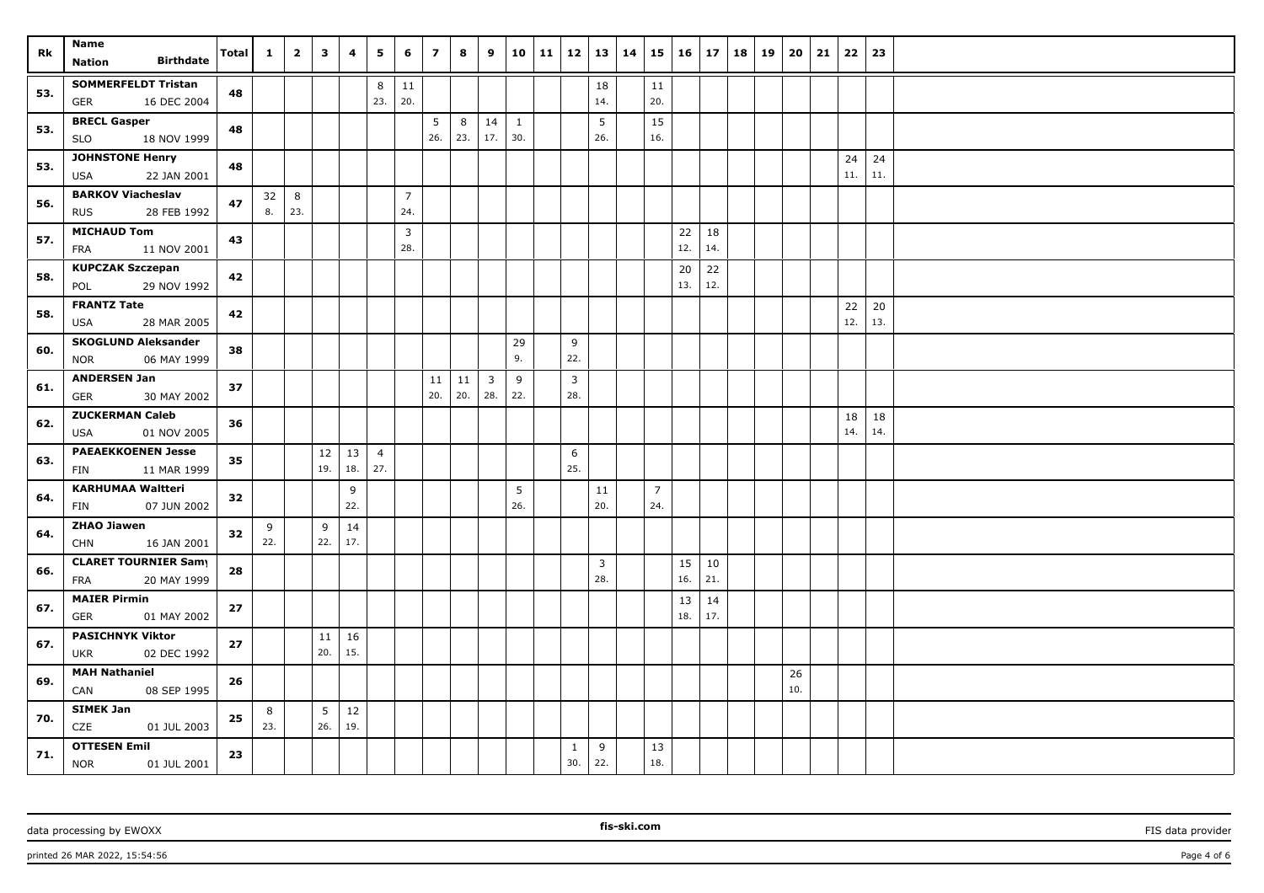| Rk  | Name<br><b>Birthdate</b><br>Nation                      | <b>Total</b> | 1        | $\overline{\mathbf{2}}$ | $\mathbf{3}$           | $\overline{4}$ | 5                     | 6                     | $\overline{7}$ | 8                 | 9                     | 10 <sup>1</sup> | $11 \mid 12 \mid 13$  |                       | 14 | 15                    | 16        | 17        | 18 | 19 | 20        | 21 | $22 \mid 23$ |           |  |
|-----|---------------------------------------------------------|--------------|----------|-------------------------|------------------------|----------------|-----------------------|-----------------------|----------------|-------------------|-----------------------|-----------------|-----------------------|-----------------------|----|-----------------------|-----------|-----------|----|----|-----------|----|--------------|-----------|--|
| 53. | <b>SOMMERFELDT Tristan</b><br>16 DEC 2004<br>GER        | 48           |          |                         |                        |                | 8<br>23.              | 11<br>20.             |                |                   |                       |                 |                       | 18<br>14.             |    | 11<br>20.             |           |           |    |    |           |    |              |           |  |
| 53. | <b>BRECL Gasper</b><br>18 NOV 1999<br><b>SLO</b>        | 48           |          |                         |                        |                |                       |                       | 5<br>26.       | 8<br>23.          | 14<br>17.             | 1<br>30.        |                       | 5<br>26.              |    | 15<br>16.             |           |           |    |    |           |    |              |           |  |
| 53. | <b>JOHNSTONE Henry</b><br><b>USA</b><br>22 JAN 2001     | 48           |          |                         |                        |                |                       |                       |                |                   |                       |                 |                       |                       |    |                       |           |           |    |    |           |    | 24<br>11.    | 24<br>11. |  |
| 56. | <b>BARKOV Viacheslav</b><br><b>RUS</b><br>28 FEB 1992   | 47           | 32<br>8. | 8<br>23.                |                        |                |                       | $\overline{7}$<br>24. |                |                   |                       |                 |                       |                       |    |                       |           |           |    |    |           |    |              |           |  |
| 57. | <b>MICHAUD Tom</b><br>11 NOV 2001<br>FRA                | 43           |          |                         |                        |                |                       | 3<br>28.              |                |                   |                       |                 |                       |                       |    |                       | 22<br>12. | 18<br>14. |    |    |           |    |              |           |  |
| 58. | <b>KUPCZAK Szczepan</b><br>29 NOV 1992<br>POL           | 42           |          |                         |                        |                |                       |                       |                |                   |                       |                 |                       |                       |    |                       | 20<br>13. | 22<br>12. |    |    |           |    |              |           |  |
| 58. | <b>FRANTZ Tate</b><br><b>USA</b><br>28 MAR 2005         | 42           |          |                         |                        |                |                       |                       |                |                   |                       |                 |                       |                       |    |                       |           |           |    |    |           |    | 22<br>12.    | 20<br>13. |  |
| 60. | <b>SKOGLUND Aleksander</b><br>06 MAY 1999<br><b>NOR</b> | 38           |          |                         |                        |                |                       |                       |                |                   |                       | 29<br>9.        | 9<br>22.              |                       |    |                       |           |           |    |    |           |    |              |           |  |
| 61. | <b>ANDERSEN Jan</b><br>GER<br>30 MAY 2002               | 37           |          |                         |                        |                |                       |                       | 11<br>20.      | 11<br>$\vert$ 20. | $\overline{3}$<br>28. | 9<br>22.        | $\overline{3}$<br>28. |                       |    |                       |           |           |    |    |           |    |              |           |  |
| 62. | <b>ZUCKERMAN Caleb</b><br>01 NOV 2005<br><b>USA</b>     | 36           |          |                         |                        |                |                       |                       |                |                   |                       |                 |                       |                       |    |                       |           |           |    |    |           |    | 18<br>14.    | 18<br>14. |  |
| 63. | <b>PAEAEKKOENEN Jesse</b><br>11 MAR 1999<br>FIN         | 35           |          |                         | 12<br>19.              | 13<br>18.      | $\overline{4}$<br>27. |                       |                |                   |                       |                 | 6<br>25.              |                       |    |                       |           |           |    |    |           |    |              |           |  |
| 64. | <b>KARHUMAA Waltteri</b><br>FIN<br>07 JUN 2002          | 32           |          |                         |                        | 9<br>22.       |                       |                       |                |                   |                       | 5<br>26.        |                       | 11<br>20.             |    | $\overline{7}$<br>24. |           |           |    |    |           |    |              |           |  |
| 64. | <b>ZHAO Jiawen</b><br>16 JAN 2001<br><b>CHN</b>         | 32           | 9<br>22. |                         | 9<br>22.               | 14<br>17.      |                       |                       |                |                   |                       |                 |                       |                       |    |                       |           |           |    |    |           |    |              |           |  |
| 66. | <b>CLARET TOURNIER Samy</b><br>20 MAY 1999<br>FRA       | 28           |          |                         |                        |                |                       |                       |                |                   |                       |                 |                       | $\overline{3}$<br>28. |    |                       | 15<br>16. | 10<br>21. |    |    |           |    |              |           |  |
| 67. | <b>MAIER Pirmin</b><br>01 MAY 2002<br>GER               | 27           |          |                         |                        |                |                       |                       |                |                   |                       |                 |                       |                       |    |                       | 13<br>18. | 14<br>17. |    |    |           |    |              |           |  |
| 67. | <b>PASICHNYK Viktor</b><br><b>UKR</b><br>02 DEC 1992    | 27           |          |                         | 11<br>20.              | 16<br>15.      |                       |                       |                |                   |                       |                 |                       |                       |    |                       |           |           |    |    |           |    |              |           |  |
| 69. | <b>MAH Nathaniel</b><br>08 SEP 1995<br>CAN              | 26           |          |                         |                        |                |                       |                       |                |                   |                       |                 |                       |                       |    |                       |           |           |    |    | 26<br>10. |    |              |           |  |
| 70. | <b>SIMEK Jan</b><br><b>CZE</b><br>01 JUL 2003           | 25           | 8<br>23. |                         | $5\phantom{.0}$<br>26. | 12<br>19.      |                       |                       |                |                   |                       |                 |                       |                       |    |                       |           |           |    |    |           |    |              |           |  |
| 71. | <b>OTTESEN Emil</b><br><b>NOR</b><br>01 JUL 2001        | 23           |          |                         |                        |                |                       |                       |                |                   |                       |                 | 1<br>30.              | 9<br>22.              |    | 13<br>18.             |           |           |    |    |           |    |              |           |  |

printed 26 MAR 2022, 15:54:56 Page 4 of 6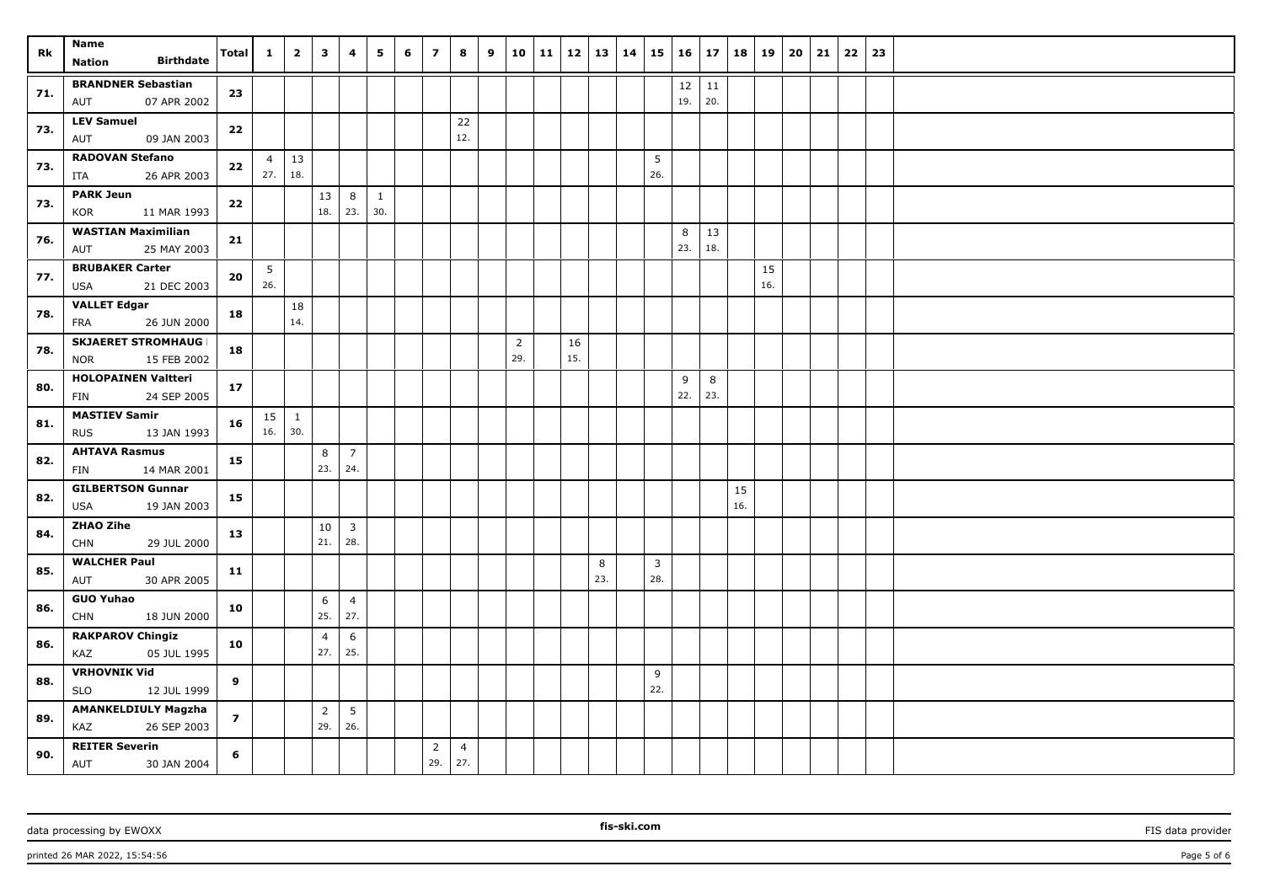| Rk  | <b>Name</b><br><b>Birthdate</b><br><b>Nation</b> | Total          | $\mathbf{1}$ | $\overline{\mathbf{2}}$ | $\mathbf{3}$          | 4                     | 5   | 6 | $\overline{z}$        | 8                     | 9 |                | 10   11   12   13   14 |     | $15 \mid 16$   |          | 17        | 18  | 19  | 20 | 21 | 22 | 23 |  |
|-----|--------------------------------------------------|----------------|--------------|-------------------------|-----------------------|-----------------------|-----|---|-----------------------|-----------------------|---|----------------|------------------------|-----|----------------|----------|-----------|-----|-----|----|----|----|----|--|
|     | <b>BRANDNER Sebastian</b>                        |                |              |                         |                       |                       |     |   |                       |                       |   |                |                        |     |                | 12       |           |     |     |    |    |    |    |  |
| 71. | 07 APR 2002<br>AUT                               | 23             |              |                         |                       |                       |     |   |                       |                       |   |                |                        |     |                | 19.      | 11<br>20. |     |     |    |    |    |    |  |
|     | <b>LEV Samuel</b>                                |                |              |                         |                       |                       |     |   |                       | 22                    |   |                |                        |     |                |          |           |     |     |    |    |    |    |  |
| 73. | 09 JAN 2003<br>AUT                               | 22             |              |                         |                       |                       |     |   |                       | 12.                   |   |                |                        |     |                |          |           |     |     |    |    |    |    |  |
| 73. | <b>RADOVAN Stefano</b>                           | 22             | 4            | $\vert$ 13              |                       |                       |     |   |                       |                       |   |                |                        |     | 5              |          |           |     |     |    |    |    |    |  |
|     | 26 APR 2003<br>ITA                               |                | 27.          | 18.                     |                       |                       |     |   |                       |                       |   |                |                        |     | 26.            |          |           |     |     |    |    |    |    |  |
| 73. | <b>PARK Jeun</b>                                 | 22             |              |                         | 13                    | 8                     | 1   |   |                       |                       |   |                |                        |     |                |          |           |     |     |    |    |    |    |  |
|     | KOR<br>11 MAR 1993                               |                |              |                         | 18.                   | 23.                   | 30. |   |                       |                       |   |                |                        |     |                |          |           |     |     |    |    |    |    |  |
| 76. | <b>WASTIAN Maximilian</b><br>AUT<br>25 MAY 2003  | 21             |              |                         |                       |                       |     |   |                       |                       |   |                |                        |     |                | 8<br>23. | 13<br>18. |     |     |    |    |    |    |  |
|     | <b>BRUBAKER Carter</b>                           |                | 5            |                         |                       |                       |     |   |                       |                       |   |                |                        |     |                |          |           |     | 15  |    |    |    |    |  |
| 77. | USA<br>21 DEC 2003                               | 20             | 26.          |                         |                       |                       |     |   |                       |                       |   |                |                        |     |                |          |           |     | 16. |    |    |    |    |  |
|     | <b>VALLET Edgar</b>                              |                |              | 18                      |                       |                       |     |   |                       |                       |   |                |                        |     |                |          |           |     |     |    |    |    |    |  |
| 78. | 26 JUN 2000<br>FRA                               | 18             |              | 14.                     |                       |                       |     |   |                       |                       |   |                |                        |     |                |          |           |     |     |    |    |    |    |  |
| 78. | <b>SKJAERET STROMHAUG I</b>                      | 18             |              |                         |                       |                       |     |   |                       |                       |   | $\overline{2}$ | 16                     |     |                |          |           |     |     |    |    |    |    |  |
|     | 15 FEB 2002<br><b>NOR</b>                        |                |              |                         |                       |                       |     |   |                       |                       |   | 29.            | 15.                    |     |                |          |           |     |     |    |    |    |    |  |
| 80. | <b>HOLOPAINEN Valtteri</b>                       | 17             |              |                         |                       |                       |     |   |                       |                       |   |                |                        |     |                | 9        | 8         |     |     |    |    |    |    |  |
|     | FIN<br>24 SEP 2005                               |                |              |                         |                       |                       |     |   |                       |                       |   |                |                        |     |                | 22.      | 23.       |     |     |    |    |    |    |  |
| 81. | <b>MASTIEV Samir</b>                             | 16             | 15           | $\mathbf{1}$            |                       |                       |     |   |                       |                       |   |                |                        |     |                |          |           |     |     |    |    |    |    |  |
|     | <b>RUS</b><br>13 JAN 1993                        |                | 16.          | 30.                     |                       |                       |     |   |                       |                       |   |                |                        |     |                |          |           |     |     |    |    |    |    |  |
| 82. | <b>AHTAVA Rasmus</b><br>FIN<br>14 MAR 2001       | 15             |              |                         | 8<br>23.              | $\overline{7}$<br>24. |     |   |                       |                       |   |                |                        |     |                |          |           |     |     |    |    |    |    |  |
|     | <b>GILBERTSON Gunnar</b>                         |                |              |                         |                       |                       |     |   |                       |                       |   |                |                        |     |                |          |           | 15  |     |    |    |    |    |  |
| 82. | <b>USA</b><br>19 JAN 2003                        | 15             |              |                         |                       |                       |     |   |                       |                       |   |                |                        |     |                |          |           | 16. |     |    |    |    |    |  |
|     | <b>ZHAO Zihe</b>                                 |                |              |                         | 10                    | $\mathbf{3}$          |     |   |                       |                       |   |                |                        |     |                |          |           |     |     |    |    |    |    |  |
| 84. | <b>CHN</b><br>29 JUL 2000                        | 13             |              |                         | 21.                   | 28.                   |     |   |                       |                       |   |                |                        |     |                |          |           |     |     |    |    |    |    |  |
| 85. | <b>WALCHER Paul</b>                              | 11             |              |                         |                       |                       |     |   |                       |                       |   |                |                        | 8   | $\overline{3}$ |          |           |     |     |    |    |    |    |  |
|     | 30 APR 2005<br>AUT                               |                |              |                         |                       |                       |     |   |                       |                       |   |                |                        | 23. | 28.            |          |           |     |     |    |    |    |    |  |
| 86. | <b>GUO Yuhao</b>                                 | 10             |              |                         | 6                     | $\overline{4}$        |     |   |                       |                       |   |                |                        |     |                |          |           |     |     |    |    |    |    |  |
|     | 18 JUN 2000<br><b>CHN</b>                        |                |              |                         | 25.                   | 27.                   |     |   |                       |                       |   |                |                        |     |                |          |           |     |     |    |    |    |    |  |
| 86. | <b>RAKPAROV Chingiz</b><br>05 JUL 1995<br>KAZ    | 10             |              |                         | $\overline{4}$<br>27. | 6<br>25.              |     |   |                       |                       |   |                |                        |     |                |          |           |     |     |    |    |    |    |  |
|     | <b>VRHOVNIK Vid</b>                              |                |              |                         |                       |                       |     |   |                       |                       |   |                |                        |     | 9              |          |           |     |     |    |    |    |    |  |
| 88. | <b>SLO</b><br>12 JUL 1999                        | 9              |              |                         |                       |                       |     |   |                       |                       |   |                |                        |     | 22.            |          |           |     |     |    |    |    |    |  |
| 89. | <b>AMANKELDIULY Magzha</b>                       | $\overline{z}$ |              |                         | $\overline{2}$        | 5                     |     |   |                       |                       |   |                |                        |     |                |          |           |     |     |    |    |    |    |  |
|     | KAZ<br>26 SEP 2003                               |                |              |                         | 29.                   | 26.                   |     |   |                       |                       |   |                |                        |     |                |          |           |     |     |    |    |    |    |  |
| 90. | <b>REITER Severin</b><br>AUT<br>30 JAN 2004      | 6              |              |                         |                       |                       |     |   | $\overline{2}$<br>29. | $\overline{4}$<br>27. |   |                |                        |     |                |          |           |     |     |    |    |    |    |  |

data processing by EWOXX **FIS** data provider **FIS** data provider **FIS** data provider **FIS** data provider

printed 26 MAR 2022, 15:54:56 Page 5 of 6